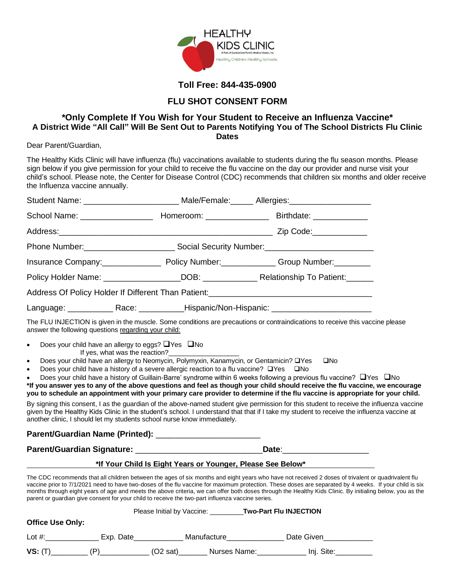

## **Toll Free: 844-435-0900**

## **FLU SHOT CONSENT FORM**

## **\*Only Complete If You Wish for Your Student to Receive an Influenza Vaccine\* A District Wide "All Call" Will Be Sent Out to Parents Notifying You of The School Districts Flu Clinic Dates**

Dear Parent/Guardian,

The Healthy Kids Clinic will have influenza (flu) vaccinations available to students during the flu season months. Please sign below if you give permission for your child to receive the flu vaccine on the day our provider and nurse visit your child's school. Please note, the Center for Disease Control (CDC) recommends that children six months and older receive the Influenza vaccine annually.

|                                                                                                                   |                                                                                                     |                                                                                                                                                                                               | Student Name: __________________________ Male/Female: ______ Allergies: ________________                                                                                                                                                                                                                                                                                                                                                                                 |  |  |
|-------------------------------------------------------------------------------------------------------------------|-----------------------------------------------------------------------------------------------------|-----------------------------------------------------------------------------------------------------------------------------------------------------------------------------------------------|--------------------------------------------------------------------------------------------------------------------------------------------------------------------------------------------------------------------------------------------------------------------------------------------------------------------------------------------------------------------------------------------------------------------------------------------------------------------------|--|--|
|                                                                                                                   |                                                                                                     |                                                                                                                                                                                               |                                                                                                                                                                                                                                                                                                                                                                                                                                                                          |  |  |
|                                                                                                                   |                                                                                                     |                                                                                                                                                                                               |                                                                                                                                                                                                                                                                                                                                                                                                                                                                          |  |  |
|                                                                                                                   |                                                                                                     |                                                                                                                                                                                               |                                                                                                                                                                                                                                                                                                                                                                                                                                                                          |  |  |
|                                                                                                                   |                                                                                                     |                                                                                                                                                                                               |                                                                                                                                                                                                                                                                                                                                                                                                                                                                          |  |  |
|                                                                                                                   |                                                                                                     |                                                                                                                                                                                               |                                                                                                                                                                                                                                                                                                                                                                                                                                                                          |  |  |
|                                                                                                                   |                                                                                                     |                                                                                                                                                                                               |                                                                                                                                                                                                                                                                                                                                                                                                                                                                          |  |  |
|                                                                                                                   | Language: ________________Race: ______________Hispanic/Non-Hispanic: ______________________________ |                                                                                                                                                                                               |                                                                                                                                                                                                                                                                                                                                                                                                                                                                          |  |  |
| answer the following questions regarding your child:                                                              |                                                                                                     |                                                                                                                                                                                               | The FLU INJECTION is given in the muscle. Some conditions are precautions or contraindications to receive this vaccine please                                                                                                                                                                                                                                                                                                                                            |  |  |
| Does your child have an allergy to eggs? $\Box$ Yes $\Box$ No<br>$\bullet$<br>$\bullet$<br>$\bullet$<br>$\bullet$ |                                                                                                     | Does your child have an allergy to Neomycin, Polymyxin, Kanamycin, or Gentamicin? □Yes<br>Does your child have a history of a severe allergic reaction to a flu vaccine? $\Box$ Yes $\Box$ No | $\square$ No<br>Does your child have a history of Guillain-Barre' syndrome within 6 weeks following a previous flu vaccine? $\Box$ Yes $\Box$ No<br>*If you answer yes to any of the above questions and feel as though your child should receive the flu vaccine, we encourage<br>you to schedule an appointment with your primary care provider to determine if the flu vaccine is appropriate for your child.                                                         |  |  |
| another clinic, I should let my students school nurse know immediately.                                           |                                                                                                     |                                                                                                                                                                                               | By signing this consent, I as the guardian of the above-named student give permission for this student to receive the influenza vaccine<br>given by the Healthy Kids Clinic in the student's school. I understand that that if I take my student to receive the influenza vaccine at                                                                                                                                                                                     |  |  |
|                                                                                                                   |                                                                                                     |                                                                                                                                                                                               |                                                                                                                                                                                                                                                                                                                                                                                                                                                                          |  |  |
|                                                                                                                   |                                                                                                     |                                                                                                                                                                                               | Date: the contract of the contract of the contract of the contract of the contract of the contract of the contract of the contract of the contract of the contract of the contract of the contract of the contract of the cont                                                                                                                                                                                                                                           |  |  |
|                                                                                                                   |                                                                                                     |                                                                                                                                                                                               | *If Your Child Is Eight Years or Younger, Please See Below*                                                                                                                                                                                                                                                                                                                                                                                                              |  |  |
| parent or guardian give consent for your child to receive the two-part influenza vaccine series.                  |                                                                                                     |                                                                                                                                                                                               | The CDC recommends that all children between the ages of six months and eight years who have not received 2 doses of trivalent or quadrivalent flu<br>vaccine prior to 7/1/2021 need to have two-doses of the flu vaccine for maximum protection. These doses are separated by 4 weeks. If your child is six<br>months through eight years of age and meets the above criteria, we can offer both doses through the Healthy Kids Clinic. By initialing below, you as the |  |  |

|                         | <b>Two-Part Flu INJECTION</b><br>Please Initial by Vaccine: |                          |            |  |  |  |
|-------------------------|-------------------------------------------------------------|--------------------------|------------|--|--|--|
| <b>Office Use Only:</b> |                                                             |                          |            |  |  |  |
| Lot $#$ :               | Exp. Date                                                   | Manufacture              | Date Given |  |  |  |
| <b>VS: (T</b>           |                                                             | Nurses Name:<br>(O2 sat) | Inj. Site: |  |  |  |